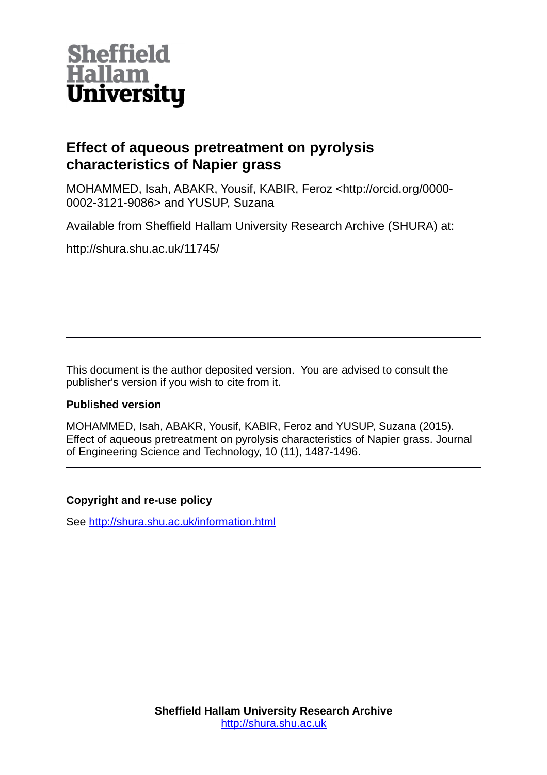

# **Effect of aqueous pretreatment on pyrolysis characteristics of Napier grass**

MOHAMMED, Isah, ABAKR, Yousif, KABIR, Feroz <http://orcid.org/0000- 0002-3121-9086> and YUSUP, Suzana

Available from Sheffield Hallam University Research Archive (SHURA) at:

http://shura.shu.ac.uk/11745/

This document is the author deposited version. You are advised to consult the publisher's version if you wish to cite from it.

# **Published version**

MOHAMMED, Isah, ABAKR, Yousif, KABIR, Feroz and YUSUP, Suzana (2015). Effect of aqueous pretreatment on pyrolysis characteristics of Napier grass. Journal of Engineering Science and Technology, 10 (11), 1487-1496.

# **Copyright and re-use policy**

See<http://shura.shu.ac.uk/information.html>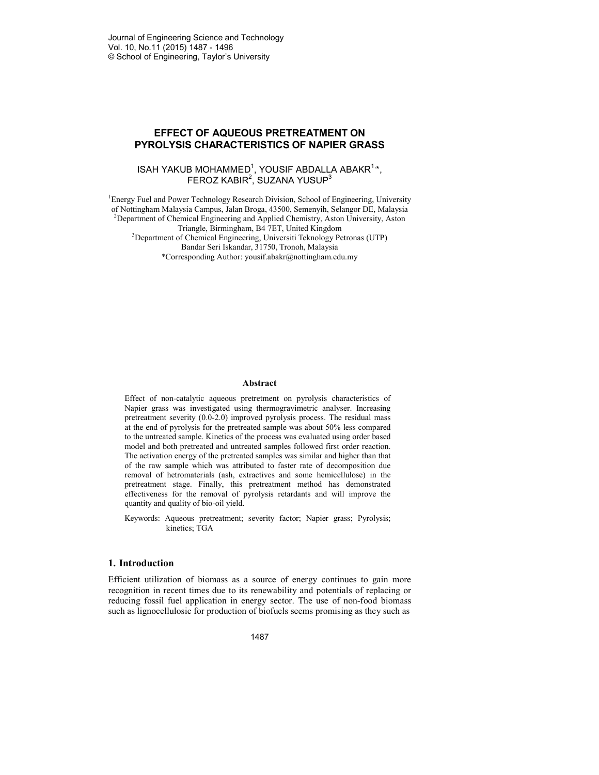#### **EFFECT OF AQUEOUS PRETREATMENT ON PYROLYSIS CHARACTERISTICS OF NAPIER GRASS**

### ISAH YAKUB MOHAMMED $^1$ , YOUSIF ABDALLA ABAKR $^{1,*},$ FEROZ KABIR $^2$ , SUZANA YUSUP $^3$

<sup>1</sup>Energy Fuel and Power Technology Research Division, School of Engineering, University of Nottingham Malaysia Campus, Jalan Broga, 43500, Semenyih, Selangor DE, Malaysia <sup>2</sup>Department of Chemical Engineering and Applied Chemistry, Aston University, Aston Triangle, Birmingham, B4 7ET, United Kingdom <sup>3</sup>Department of Chemical Engineering, Universiti Teknology Petronas (UTP) Bandar Seri Iskandar, 31750, Tronoh, Malaysia \*Corresponding Author: yousif.abakr@nottingham.edu.my

#### **Abstract**

Effect of non-catalytic aqueous pretretment on pyrolysis characteristics of Napier grass was investigated using thermogravimetric analyser. Increasing pretreatment severity (0.0-2.0) improved pyrolysis process. The residual mass at the end of pyrolysis for the pretreated sample was about 50% less compared to the untreated sample. Kinetics of the process was evaluated using order based model and both pretreated and untreated samples followed first order reaction. The activation energy of the pretreated samples was similar and higher than that of the raw sample which was attributed to faster rate of decomposition due removal of hetromaterials (ash, extractives and some hemicellulose) in the pretreatment stage. Finally, this pretreatment method has demonstrated effectiveness for the removal of pyrolysis retardants and will improve the quantity and quality of bio-oil yield.

Keywords: Aqueous pretreatment; severity factor; Napier grass; Pyrolysis; kinetics; TGA

#### **1. Introduction**

Efficient utilization of biomass as a source of energy continues to gain more recognition in recent times due to its renewability and potentials of replacing or reducing fossil fuel application in energy sector. The use of non-food biomass such as lignocellulosic for production of biofuels seems promising as they such as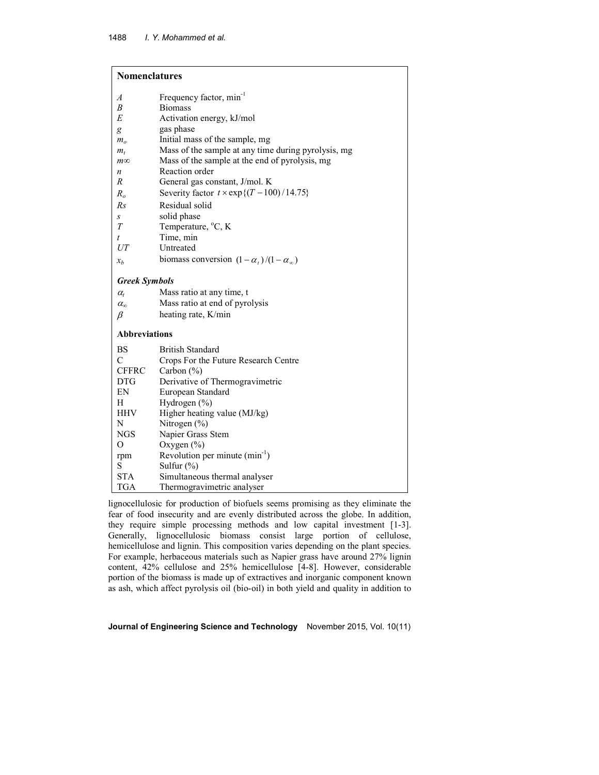## **Nomenclatures**

| A                    | Frequency factor, min <sup>-1</sup>                 |
|----------------------|-----------------------------------------------------|
| B                    | <b>Biomass</b>                                      |
| E                    | Activation energy, kJ/mol                           |
| g                    | gas phase                                           |
| m <sub>o</sub>       | Initial mass of the sample, mg                      |
| $m_t$                | Mass of the sample at any time during pyrolysis, mg |
| $m\infty$            | Mass of the sample at the end of pyrolysis, mg      |
| n                    | Reaction order                                      |
| R                    | General gas constant, J/mol. K                      |
| $R_o$                | Severity factor $t \times \exp\{(T - 100)/14.75\}$  |
| Rs                   | Residual solid                                      |
| S                    | solid phase                                         |
| $\boldsymbol{T}$     | Temperature, °C, K                                  |
| t                    | Time, min                                           |
| UT                   | Untreated                                           |
| $x_b$                | biomass conversion $(1 - \alpha_t)/(1 - \alpha_m)$  |
| <b>Greek Symbols</b> |                                                     |
| $\alpha_{t}$         | Mass ratio at any time, t                           |
| $\alpha_{\rm n}$     | Mass ratio at end of pyrolysis                      |
| β                    | heating rate, K/min                                 |
| <b>Abbreviations</b> |                                                     |
|                      |                                                     |
| BS                   | <b>British Standard</b>                             |
| $\mathcal{C}$        | Crops For the Future Research Centre                |
| <b>CFFRC</b>         | Carbon $(\% )$                                      |
| <b>DTG</b>           | Derivative of Thermogravimetric                     |
| EN                   | European Standard                                   |
| H                    | Hydrogen (%)                                        |
| HHV                  | Higher heating value (MJ/kg)                        |
| N                    | Nitrogen $(\%)$                                     |
| <b>NGS</b>           | Napier Grass Stem                                   |
| O                    | Oxygen $(\% )$                                      |
| rpm<br>S             | Revolution per minute $(min^{-1})$                  |
|                      | Sulfur $(\%)$                                       |
| <b>STA</b>           | Simultaneous thermal analyser                       |
| <b>TGA</b>           | Thermogravimetric analyser                          |

lignocellulosic for production of biofuels seems promising as they eliminate the fear of food insecurity and are evenly distributed across the globe. In addition, they require simple processing methods and low capital investment [1-3]. Generally, lignocellulosic biomass consist large portion of cellulose, hemicellulose and lignin. This composition varies depending on the plant species. For example, herbaceous materials such as Napier grass have around 27% lignin content, 42% cellulose and 25% hemicellulose [4-8]. However, considerable portion of the biomass is made up of extractives and inorganic component known as ash, which affect pyrolysis oil (bio-oil) in both yield and quality in addition to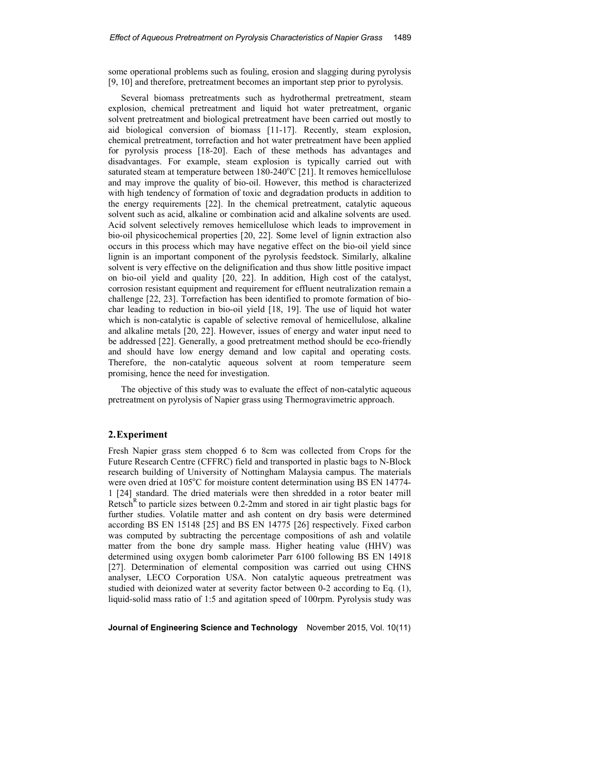some operational problems such as fouling, erosion and slagging during pyrolysis [9, 10] and therefore, pretreatment becomes an important step prior to pyrolysis.

Several biomass pretreatments such as hydrothermal pretreatment, steam explosion, chemical pretreatment and liquid hot water pretreatment, organic solvent pretreatment and biological pretreatment have been carried out mostly to aid biological conversion of biomass [11-17]. Recently, steam explosion, chemical pretreatment, torrefaction and hot water pretreatment have been applied for pyrolysis process [18-20]. Each of these methods has advantages and disadvantages. For example, steam explosion is typically carried out with saturated steam at temperature between  $180-240^{\circ}\text{C}$  [21]. It removes hemicellulose and may improve the quality of bio-oil. However, this method is characterized with high tendency of formation of toxic and degradation products in addition to the energy requirements [22]. In the chemical pretreatment, catalytic aqueous solvent such as acid, alkaline or combination acid and alkaline solvents are used. Acid solvent selectively removes hemicellulose which leads to improvement in bio-oil physicochemical properties [20, 22]. Some level of lignin extraction also occurs in this process which may have negative effect on the bio-oil yield since lignin is an important component of the pyrolysis feedstock. Similarly, alkaline solvent is very effective on the delignification and thus show little positive impact on bio-oil yield and quality [20, 22]. In addition, High cost of the catalyst, corrosion resistant equipment and requirement for effluent neutralization remain a challenge [22, 23]. Torrefaction has been identified to promote formation of biochar leading to reduction in bio-oil yield [18, 19]. The use of liquid hot water which is non-catalytic is capable of selective removal of hemicellulose, alkaline and alkaline metals [20, 22]. However, issues of energy and water input need to be addressed [22]. Generally, a good pretreatment method should be eco-friendly and should have low energy demand and low capital and operating costs. Therefore, the non-catalytic aqueous solvent at room temperature seem promising, hence the need for investigation.

The objective of this study was to evaluate the effect of non-catalytic aqueous pretreatment on pyrolysis of Napier grass using Thermogravimetric approach.

## **2.Experiment**

Fresh Napier grass stem chopped 6 to 8cm was collected from Crops for the Future Research Centre (CFFRC) field and transported in plastic bags to N-Block research building of University of Nottingham Malaysia campus. The materials were oven dried at 105°C for moisture content determination using BS EN 14774-1 [24] standard. The dried materials were then shredded in a rotor beater mill Retsch<sup>R</sup>to particle sizes between 0.2-2mm and stored in air tight plastic bags for further studies. Volatile matter and ash content on dry basis were determined according BS EN 15148 [25] and BS EN 14775 [26] respectively. Fixed carbon was computed by subtracting the percentage compositions of ash and volatile matter from the bone dry sample mass. Higher heating value (HHV) was determined using oxygen bomb calorimeter Parr 6100 following BS EN 14918 [27]. Determination of elemental composition was carried out using CHNS analyser, LECO Corporation USA. Non catalytic aqueous pretreatment was studied with deionized water at severity factor between 0-2 according to Eq. (1), liquid-solid mass ratio of 1:5 and agitation speed of 100rpm. Pyrolysis study was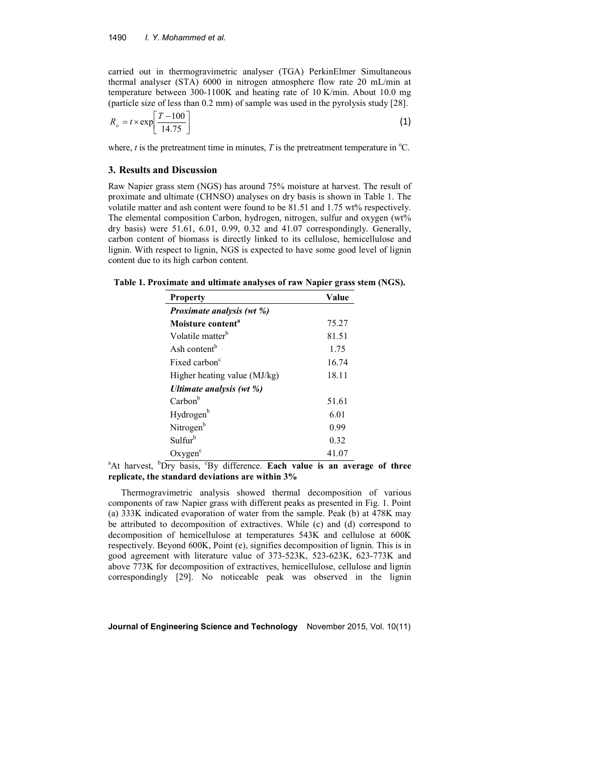carried out in thermogravimetric analyser (TGA) PerkinElmer Simultaneous thermal analyser (STA) 6000 in nitrogen atmosphere flow rate 20 mL/min at temperature between 300-1100K and heating rate of 10 K/min. About 10.0 mg (particle size of less than 0.2 mm) of sample was used in the pyrolysis study [28].

$$
R_o = t \times \exp\left[\frac{T - 100}{14.75}\right] \tag{1}
$$

where,  $t$  is the pretreatment time in minutes,  $T$  is the pretreatment temperature in  $^{\circ}C$ .

#### **3. Results and Discussion**

Raw Napier grass stem (NGS) has around 75% moisture at harvest. The result of proximate and ultimate (CHNSO) analyses on dry basis is shown in Table 1. The volatile matter and ash content were found to be 81.51 and 1.75 wt% respectively. The elemental composition Carbon, hydrogen, nitrogen, sulfur and oxygen (wt% dry basis) were 51.61, 6.01, 0.99, 0.32 and 41.07 correspondingly. Generally, carbon content of biomass is directly linked to its cellulose, hemicellulose and lignin. With respect to lignin, NGS is expected to have some good level of lignin content due to its high carbon content.

| Table 1. Proximate and ultimate analyses of raw Napier grass stem (NGS). |  |  |
|--------------------------------------------------------------------------|--|--|
|                                                                          |  |  |

| <b>Property</b>                  | Value |  |
|----------------------------------|-------|--|
| <i>Proximate analysis (wt %)</i> |       |  |
| Moisture content <sup>a</sup>    | 75.27 |  |
| Volatile matter <sup>b</sup>     | 81.51 |  |
| Ash content <sup>b</sup>         | 1.75  |  |
| Fixed carbon <sup>c</sup>        | 16.74 |  |
| Higher heating value (MJ/kg)     | 18.11 |  |
| Ultimate analysis (wt %)         |       |  |
| Carbon <sup>b</sup>              | 51.61 |  |
| Hydrogen <sup>b</sup>            | 6.01  |  |
| Nitrogen <sup>b</sup>            | 0.99  |  |
| Sulfur <sup>b</sup>              | 0.32  |  |
| Oxygen <sup>c</sup>              | 41.07 |  |

<sup>a</sup>At harvest, <sup>b</sup>Dry basis, <sup>c</sup>By difference. **Each value is an average of three replicate, the standard deviations are within 3%**

Thermogravimetric analysis showed thermal decomposition of various components of raw Napier grass with different peaks as presented in Fig. 1. Point (a) 333K indicated evaporation of water from the sample. Peak (b) at 478K may be attributed to decomposition of extractives. While (c) and (d) correspond to decomposition of hemicellulose at temperatures 543K and cellulose at 600K respectively. Beyond 600K, Point (e), signifies decomposition of lignin. This is in good agreement with literature value of 373-523K, 523-623K, 623-773K and above 773K for decomposition of extractives, hemicellulose, cellulose and lignin correspondingly [29]. No noticeable peak was observed in the lignin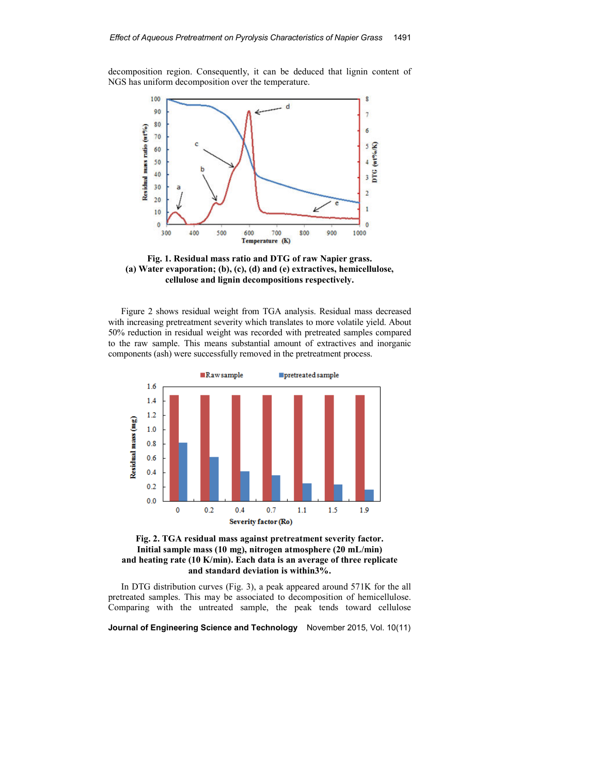decomposition region. Consequently, it can be deduced that lignin content of NGS has uniform decomposition over the temperature.



**Fig. 1. Residual mass ratio and DTG of raw Napier grass. (a) Water evaporation; (b), (c), (d) and (e) extractives, hemicellulose, cellulose and lignin decompositions respectively.** 

Figure 2 shows residual weight from TGA analysis. Residual mass decreased with increasing pretreatment severity which translates to more volatile yield. About 50% reduction in residual weight was recorded with pretreated samples compared to the raw sample. This means substantial amount of extractives and inorganic components (ash) were successfully removed in the pretreatment process.





In DTG distribution curves (Fig. 3), a peak appeared around 571K for the all pretreated samples. This may be associated to decomposition of hemicellulose. Comparing with the untreated sample, the peak tends toward cellulose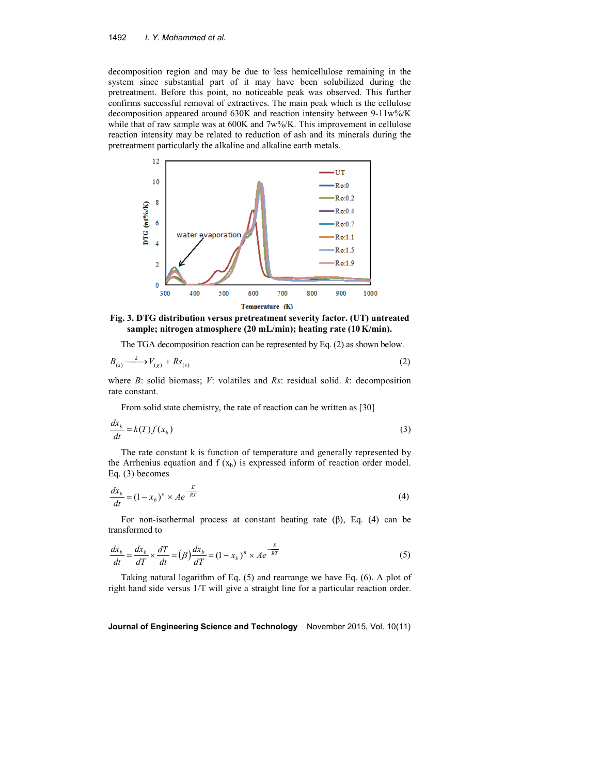#### 1492 *I. Y. Mohammed et al.*

decomposition region and may be due to less hemicellulose remaining in the system since substantial part of it may have been solubilized during the pretreatment. Before this point, no noticeable peak was observed. This further confirms successful removal of extractives. The main peak which is the cellulose decomposition appeared around 630K and reaction intensity between 9-11w%/K while that of raw sample was at 600K and 7w%/K. This improvement in cellulose reaction intensity may be related to reduction of ash and its minerals during the pretreatment particularly the alkaline and alkaline earth metals.



**Fig. 3. DTG distribution versus pretreatment severity factor. (UT) untreated sample; nitrogen atmosphere (20 mL/min); heating rate (10 K/min).** 

The TGA decomposition reaction can be represented by Eq. (2) as shown below.

$$
B_{(s)} \xrightarrow{k} V_{(g)} + Rs_{(s)}
$$
 (2)

where *B*: solid biomass; *V*: volatiles and *Rs*: residual solid. *k*: decomposition rate constant.

From solid state chemistry, the rate of reaction can be written as [30]

$$
\frac{dx_b}{dt} = k(T)f(x_b)
$$
\n(3)

The rate constant k is function of temperature and generally represented by the Arrhenius equation and  $f(x_b)$  is expressed inform of reaction order model. Eq. (3) becomes

$$
\frac{dx_b}{dt} = (1 - x_b)^n \times Ae^{-\frac{E}{RT}}
$$
\n(4)

For non-isothermal process at constant heating rate  $(\beta)$ , Eq.  $(4)$  can be transformed to

$$
\frac{dx_b}{dt} = \frac{dx_b}{dT} \times \frac{dT}{dt} = (\beta)\frac{dx_b}{dT} = (1 - x_b)^n \times Ae^{-\frac{E}{RT}}
$$
(5)

Taking natural logarithm of Eq. (5) and rearrange we have Eq. (6). A plot of right hand side versus 1/T will give a straight line for a particular reaction order.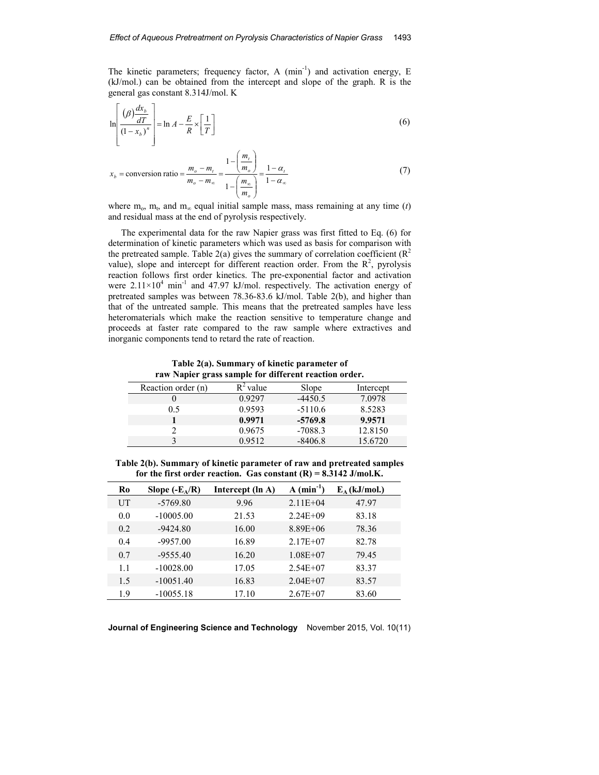The kinetic parameters; frequency factor, A  $(\text{min}^{-1})$  and activation energy, E (kJ/mol.) can be obtained from the intercept and slope of the graph. R is the general gas constant 8.314J/mol. K

$$
\ln\left[\frac{(\beta)\frac{dx_b}{dT}}{(1-x_b)^n}\right] = \ln A - \frac{E}{R} \times \left[\frac{1}{T}\right]
$$
\n(6)

$$
x_b = \text{conversion ratio} = \frac{m_o - m_t}{m_o - m_\infty} = \frac{1 - \left(\frac{m_t}{m_o}\right)}{1 - \left(\frac{m_\infty}{m_o}\right)} = \frac{1 - \alpha_t}{1 - \alpha_\infty} \tag{7}
$$

where  $m_0$ ,  $m_t$ , and  $m_\infty$  equal initial sample mass, mass remaining at any time (*t*) and residual mass at the end of pyrolysis respectively.

The experimental data for the raw Napier grass was first fitted to Eq. (6) for determination of kinetic parameters which was used as basis for comparison with the pretreated sample. Table 2(a) gives the summary of correlation coefficient ( $\mathbb{R}^2$ value), slope and intercept for different reaction order. From the  $R^2$ , pyrolysis reaction follows first order kinetics. The pre-exponential factor and activation were  $2.11 \times 10^4$  min<sup>-1</sup> and 47.97 kJ/mol. respectively. The activation energy of pretreated samples was between 78.36-83.6 kJ/mol. Table 2(b), and higher than that of the untreated sample. This means that the pretreated samples have less heteromaterials which make the reaction sensitive to temperature change and proceeds at faster rate compared to the raw sample where extractives and inorganic components tend to retard the rate of reaction.

**Table 2(a). Summary of kinetic parameter of raw Napier grass sample for different reaction order.** 

| .                  |             |           |           |
|--------------------|-------------|-----------|-----------|
| Reaction order (n) | $R^2$ value | Slope     | Intercept |
|                    | 0.9297      | $-4450.5$ | 7.0978    |
| 0.5                | 0.9593      | $-5110.6$ | 8.5283    |
|                    | 0.9971      | $-5769.8$ | 9.9571    |
|                    | 0.9675      | $-7088.3$ | 12.8150   |
|                    | 0.9512      | $-8406.8$ | 15.6720   |

**Table 2(b). Summary of kinetic parameter of raw and pretreated samples**  for the first order reaction. Gas constant  $(R) = 8.3142$  J/mol.K.

| Ro  | Slope $(-E_A/R)$ | Intercept (ln A) | A (min)      | $E_A$ (kJ/mol.) |
|-----|------------------|------------------|--------------|-----------------|
| UT  | $-5769.80$       | 9.96             | $2.11E + 04$ | 47.97           |
| 0.0 | $-10005.00$      | 21.53            | $2.24E + 09$ | 83.18           |
| 0.2 | $-9424.80$       | 16.00            | $8.89E + 06$ | 78.36           |
| 0.4 | $-9957.00$       | 16.89            | $2.17E + 07$ | 82.78           |
| 0.7 | $-9555.40$       | 16.20            | $1.08E + 07$ | 79.45           |
| 1.1 | $-10028.00$      | 17.05            | $2.54E+07$   | 83.37           |
| 1.5 | $-10051.40$      | 16.83            | $2.04E + 07$ | 83.57           |
| 1.9 | $-10055.18$      | 17.10            | $2.67E + 07$ | 83.60           |

**Journal of Engineering Science and Technology** November 2015, Vol. 10(11)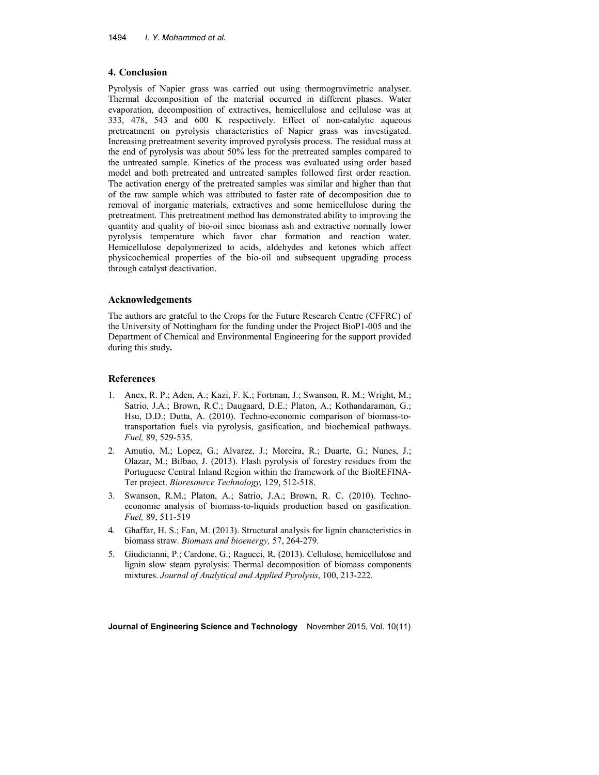#### **4. Conclusion**

Pyrolysis of Napier grass was carried out using thermogravimetric analyser. Thermal decomposition of the material occurred in different phases. Water evaporation, decomposition of extractives, hemicellulose and cellulose was at 333, 478, 543 and 600 K respectively. Effect of non-catalytic aqueous pretreatment on pyrolysis characteristics of Napier grass was investigated. Increasing pretreatment severity improved pyrolysis process. The residual mass at the end of pyrolysis was about 50% less for the pretreated samples compared to the untreated sample. Kinetics of the process was evaluated using order based model and both pretreated and untreated samples followed first order reaction. The activation energy of the pretreated samples was similar and higher than that of the raw sample which was attributed to faster rate of decomposition due to removal of inorganic materials, extractives and some hemicellulose during the pretreatment. This pretreatment method has demonstrated ability to improving the quantity and quality of bio-oil since biomass ash and extractive normally lower pyrolysis temperature which favor char formation and reaction water. Hemicellulose depolymerized to acids, aldehydes and ketones which affect physicochemical properties of the bio-oil and subsequent upgrading process through catalyst deactivation.

#### **Acknowledgements**

The authors are grateful to the Crops for the Future Research Centre (CFFRC) of the University of Nottingham for the funding under the Project BioP1-005 and the Department of Chemical and Environmental Engineering for the support provided during this study**.** 

#### **References**

- 1. Anex, R. P.; Aden, A.; Kazi, F. K.; Fortman, J.; Swanson, R. M.; Wright, M.; Satrio, J.A.; Brown, R.C.; Daugaard, D.E.; Platon, A.; Kothandaraman, G.; Hsu, D.D.; Dutta, A. (2010). Techno-economic comparison of biomass-totransportation fuels via pyrolysis, gasification, and biochemical pathways. *Fuel,* 89, 529-535.
- 2. Amutio, M.; Lopez, G.; Alvarez, J.; Moreira, R.; Duarte, G.; Nunes, J.; Olazar, M.; Bilbao, J. (2013). Flash pyrolysis of forestry residues from the Portuguese Central Inland Region within the framework of the BioREFINA-Ter project. *Bioresource Technology,* 129, 512-518.
- 3. Swanson, R.M.; Platon, A.; Satrio, J.A.; Brown, R. C. (2010). Technoeconomic analysis of biomass-to-liquids production based on gasification. *Fuel,* 89, 511-519
- 4. Ghaffar, H. S.; Fan, M. (2013). Structural analysis for lignin characteristics in biomass straw. *Biomass and bioenergy,* 57, 264-279.
- 5. Giudicianni, P.; Cardone, G.; Ragucci, R. (2013). Cellulose, hemicellulose and lignin slow steam pyrolysis: Thermal decomposition of biomass components mixtures. *Journal of Analytical and Applied Pyrolysis*, 100, 213-222.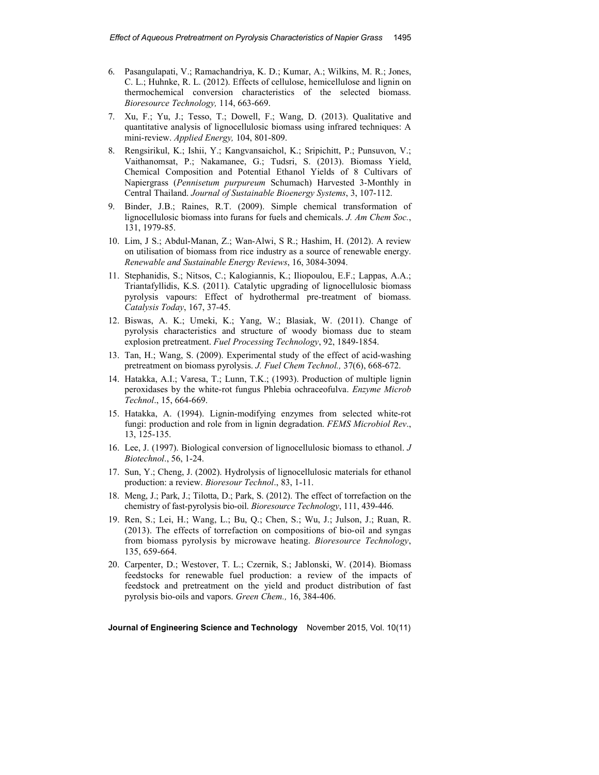- 6. Pasangulapati, V.; Ramachandriya, K. D.; Kumar, A.; Wilkins, M. R.; Jones, C. L.; Huhnke, R. L. (2012). Effects of cellulose, hemicellulose and lignin on thermochemical conversion characteristics of the selected biomass. *Bioresource Technology,* 114, 663-669.
- 7. Xu, F.; Yu, J.; Tesso, T.; Dowell, F.; Wang, D. (2013). Qualitative and quantitative analysis of lignocellulosic biomass using infrared techniques: A mini-review. *Applied Energy,* 104, 801-809.
- 8. Rengsirikul, K.; Ishii, Y.; Kangvansaichol, K.; Sripichitt, P.; Punsuvon, V.; Vaithanomsat, P.; Nakamanee, G.; Tudsri, S. (2013). Biomass Yield, Chemical Composition and Potential Ethanol Yields of 8 Cultivars of Napiergrass (*Pennisetum purpureum* Schumach) Harvested 3-Monthly in Central Thailand. *Journal of Sustainable Bioenergy Systems*, 3, 107-112.
- 9. Binder, J.B.; Raines, R.T. (2009). Simple chemical transformation of lignocellulosic biomass into furans for fuels and chemicals. *J. Am Chem Soc.*, 131, 1979-85.
- 10. Lim, J S.; Abdul-Manan, Z.; Wan-Alwi, S R.; Hashim, H. (2012). A review on utilisation of biomass from rice industry as a source of renewable energy. *Renewable and Sustainable Energy Reviews*, 16, 3084-3094.
- 11. Stephanidis, S.; Nitsos, C.; Kalogiannis, K.; Iliopoulou, E.F.; Lappas, A.A.; Triantafyllidis, K.S. (2011). Catalytic upgrading of lignocellulosic biomass pyrolysis vapours: Effect of hydrothermal pre-treatment of biomass. *Catalysis Today*, 167, 37-45.
- 12. Biswas, A. K.; Umeki, K.; Yang, W.; Blasiak, W. (2011). Change of pyrolysis characteristics and structure of woody biomass due to steam explosion pretreatment. *Fuel Processing Technology*, 92, 1849-1854.
- 13. Tan, H.; Wang, S. (2009). Experimental study of the effect of acid-washing pretreatment on biomass pyrolysis. *J. Fuel Chem Technol.,* 37(6), 668-672.
- 14. Hatakka, A.I.; Varesa, T.; Lunn, T.K.; (1993). Production of multiple lignin peroxidases by the white-rot fungus Phlebia ochraceofulva. *Enzyme Microb Technol*., 15, 664-669.
- 15. Hatakka, A. (1994). Lignin-modifying enzymes from selected white-rot fungi: production and role from in lignin degradation. *FEMS Microbiol Rev*., 13, 125-135.
- 16. Lee, J. (1997). Biological conversion of lignocellulosic biomass to ethanol. *J Biotechnol*., 56, 1-24.
- 17. Sun, Y.; Cheng, J. (2002). Hydrolysis of lignocellulosic materials for ethanol production: a review. *Bioresour Technol*., 83, 1-11.
- 18. Meng, J.; Park, J.; Tilotta, D.; Park, S. (2012). The effect of torrefaction on the chemistry of fast-pyrolysis bio-oil. *Bioresource Technology*, 111, 439-446.
- 19. Ren, S.; Lei, H.; Wang, L.; Bu, Q.; Chen, S.; Wu, J.; Julson, J.; Ruan, R. (2013). The effects of torrefaction on compositions of bio-oil and syngas from biomass pyrolysis by microwave heating. *Bioresource Technology*, 135, 659-664.
- 20. Carpenter, D.; Westover, T. L.; Czernik, S.; Jablonski, W. (2014). Biomass feedstocks for renewable fuel production: a review of the impacts of feedstock and pretreatment on the yield and product distribution of fast pyrolysis bio-oils and vapors. *Green Chem.,* 16, 384-406.